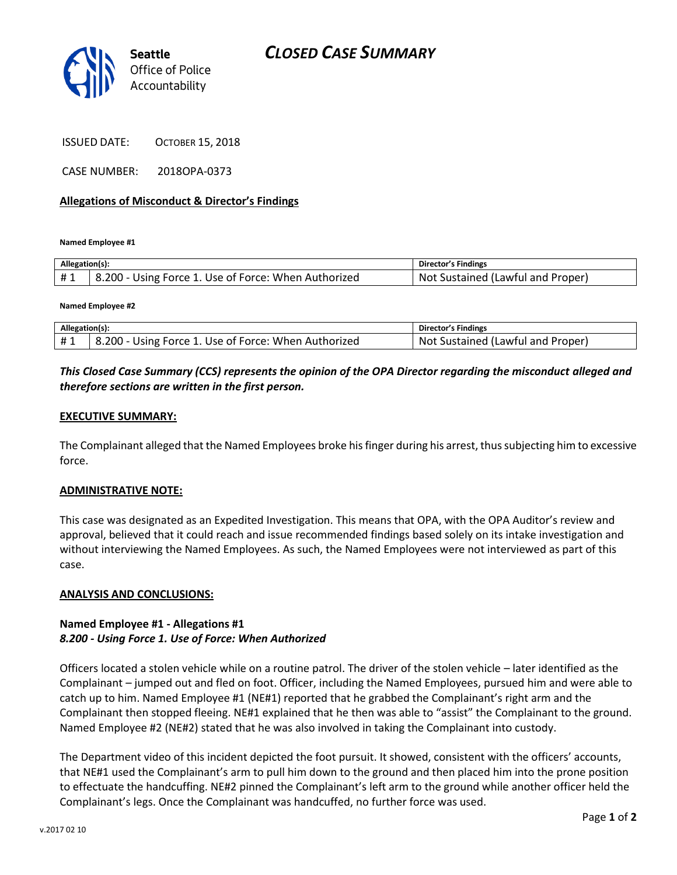

ISSUED DATE: OCTOBER 15, 2018

CASE NUMBER: 2018OPA-0373

#### **Allegations of Misconduct & Director's Findings**

**Named Employee #1**

| Allegation(s): |                                                      | Director's Findings                      |
|----------------|------------------------------------------------------|------------------------------------------|
| #1             | B.200 - Using Force 1. Use of Force: When Authorized | . Not<br>. Sustained (Lawful and Proper) |

**Named Employee #2**

| Allegation(s): |                                                      | Director's Findings               |
|----------------|------------------------------------------------------|-----------------------------------|
|                | 8.200 - Using Force 1. Use of Force: When Authorized | Not Sustained (Lawful and Proper) |

# *This Closed Case Summary (CCS) represents the opinion of the OPA Director regarding the misconduct alleged and therefore sections are written in the first person.*

#### **EXECUTIVE SUMMARY:**

The Complainant alleged that the Named Employees broke his finger during his arrest, thus subjecting him to excessive force.

#### **ADMINISTRATIVE NOTE:**

This case was designated as an Expedited Investigation. This means that OPA, with the OPA Auditor's review and approval, believed that it could reach and issue recommended findings based solely on its intake investigation and without interviewing the Named Employees. As such, the Named Employees were not interviewed as part of this case.

#### **ANALYSIS AND CONCLUSIONS:**

### **Named Employee #1 - Allegations #1** *8.200 - Using Force 1. Use of Force: When Authorized*

Officers located a stolen vehicle while on a routine patrol. The driver of the stolen vehicle – later identified as the Complainant – jumped out and fled on foot. Officer, including the Named Employees, pursued him and were able to catch up to him. Named Employee #1 (NE#1) reported that he grabbed the Complainant's right arm and the Complainant then stopped fleeing. NE#1 explained that he then was able to "assist" the Complainant to the ground. Named Employee #2 (NE#2) stated that he was also involved in taking the Complainant into custody.

The Department video of this incident depicted the foot pursuit. It showed, consistent with the officers' accounts, that NE#1 used the Complainant's arm to pull him down to the ground and then placed him into the prone position to effectuate the handcuffing. NE#2 pinned the Complainant's left arm to the ground while another officer held the Complainant's legs. Once the Complainant was handcuffed, no further force was used.